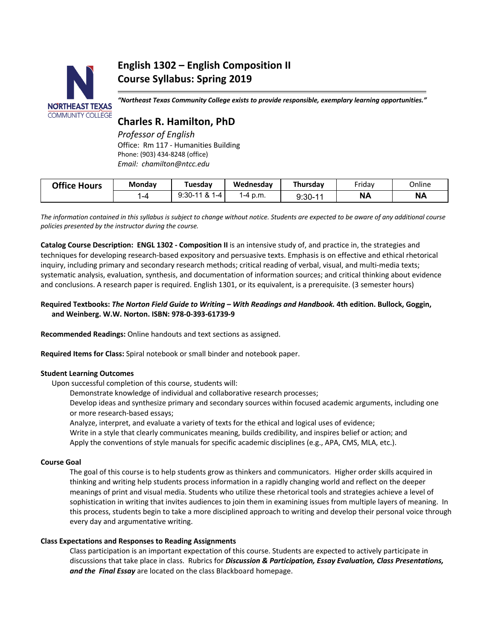# **NORTHEAST TEXAS COMMUNITY COLLEGE**

# **English 1302 – English Composition II Course Syllabus: Spring 2019**

*"Northeast Texas Community College exists to provide responsible, exemplary learning opportunities."*

# **Charles R. Hamilton, PhD**

*Professor of English* Office: Rm 117 - Humanities Building Phone: (903) 434-8248 (office) *Email: chamilton@ntcc.edu*

| <b>Office Hours</b> | Monday | Tuesdav                  | Wednesdav | Thursdav  | Fridav    | Online    |
|---------------------|--------|--------------------------|-----------|-----------|-----------|-----------|
|                     | -4     | $9:30 - 11 & 81$<br>I –4 | 1-4 p.m.  | $9:30-11$ | <b>NA</b> | <b>NA</b> |

*The information contained in this syllabus is subject to change without notice. Students are expected to be aware of any additional course policies presented by the instructor during the course.*

**Catalog Course Description: ENGL 1302 - Composition II** is an intensive study of, and practice in, the strategies and techniques for developing research-based expository and persuasive texts. Emphasis is on effective and ethical rhetorical inquiry, including primary and secondary research methods; critical reading of verbal, visual, and multi-media texts; systematic analysis, evaluation, synthesis, and documentation of information sources; and critical thinking about evidence and conclusions. A research paper is required. English 1301, or its equivalent, is a prerequisite. (3 semester hours)

# **Required Textbooks:** *The Norton Field Guide to Writing – With Readings and Handbook.* **4th edition. Bullock, Goggin, and Weinberg. W.W. Norton. ISBN: 978-0-393-61739-9**

**Recommended Readings:** Online handouts and text sections as assigned.

**Required Items for Class:** Spiral notebook or small binder and notebook paper.

# **Student Learning Outcomes**

Upon successful completion of this course, students will:

Demonstrate knowledge of individual and collaborative research processes;

Develop ideas and synthesize primary and secondary sources within focused academic arguments, including one or more research-based essays;

Analyze, interpret, and evaluate a variety of texts for the ethical and logical uses of evidence; Write in a style that clearly communicates meaning, builds credibility, and inspires belief or action; and Apply the conventions of style manuals for specific academic disciplines (e.g., APA, CMS, MLA, etc.).

# **Course Goal**

The goal of this course is to help students grow as thinkers and communicators. Higher order skills acquired in thinking and writing help students process information in a rapidly changing world and reflect on the deeper meanings of print and visual media. Students who utilize these rhetorical tools and strategies achieve a level of sophistication in writing that invites audiences to join them in examining issues from multiple layers of meaning. In this process, students begin to take a more disciplined approach to writing and develop their personal voice through every day and argumentative writing.

# **Class Expectations and Responses to Reading Assignments**

Class participation is an important expectation of this course. Students are expected to actively participate in discussions that take place in class. Rubrics for *Discussion & Participation, Essay Evaluation, Class Presentations, and the Final Essay* are located on the class Blackboard homepage.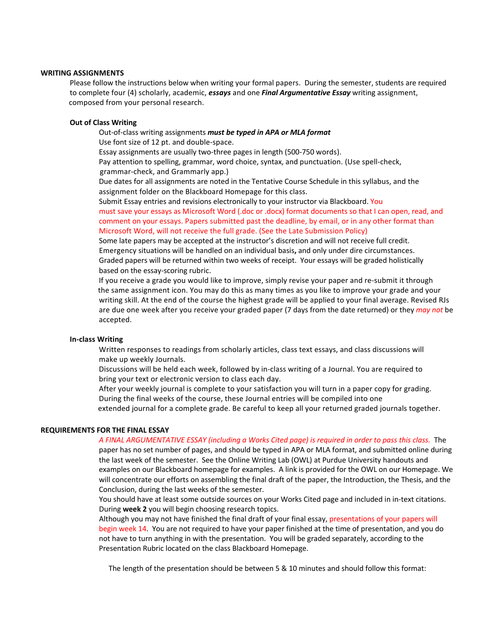#### **WRITING ASSIGNMENTS**

Please follow the instructions below when writing your formal papers. During the semester, students are required to complete four (4) scholarly, academic, *essays* and one *Final Argumentative Essay* writing assignment, composed from your personal research.

#### **Out of Class Writing**

Out-of-class writing assignments *must be typed in APA or MLA format*

Use font size of 12 pt. and double-space.

Essay assignments are usually two-three pages in length (500-750 words).

Pay attention to spelling, grammar, word choice, syntax, and punctuation. (Use spell-check, grammar-check, and Grammarly app.)

Due dates for all assignments are noted in the Tentative Course Schedule in this syllabus, and the assignment folder on the Blackboard Homepage for this class.

Submit Essay entries and revisions electronically to your instructor via Blackboard. You must save your essays as Microsoft Word (.doc or .docx) format documents so that I can open, read, and comment on your essays. Papers submitted past the deadline, by email, or in any other format than Microsoft Word, will not receive the full grade. (See the Late Submission Policy)

Some late papers may be accepted at the instructor's discretion and will not receive full credit. Emergency situations will be handled on an individual basis**,** and only under dire circumstances. Graded papers will be returned within two weeks of receipt. Your essays will be graded holistically based on the essay-scoring rubric.

If you receive a grade you would like to improve, simply revise your paper and re-submit it through the same assignment icon. You may do this as many times as you like to improve your grade and your writing skill. At the end of the course the highest grade will be applied to your final average. Revised RJs are due one week after you receive your graded paper (7 days from the date returned) or they *may not* be accepted.

#### **In-class Writing**

Written responses to readings from scholarly articles, class text essays, and class discussions will make up weekly Journals.

Discussions will be held each week, followed by in-class writing of a Journal. You are required to bring your text or electronic version to class each day.

After your weekly journal is complete to your satisfaction you will turn in a paper copy for grading. During the final weeks of the course, these Journal entries will be compiled into one

extended journal for a complete grade. Be careful to keep all your returned graded journals together.

#### **REQUIREMENTS FOR THE FINAL ESSAY**

#### *A FINAL ARGUMENTATIVE ESSAY (including a Works Cited page) is required in order to pass this class.* The

paper has no set number of pages, and should be typed in APA or MLA format, and submitted online during the last week of the semester. See the Online Writing Lab (OWL) at Purdue University handouts and examples on our Blackboard homepage for examples. A link is provided for the OWL on our Homepage. We will concentrate our efforts on assembling the final draft of the paper, the Introduction, the Thesis, and the Conclusion, during the last weeks of the semester.

 You should have at least some outside sources on your Works Cited page and included in in-text citations. During **week 2** you will begin choosing research topics.

 Although you may not have finished the final draft of your final essay, presentations of your papers will begin week 14. You are not required to have your paper finished at the time of presentation, and you do not have to turn anything in with the presentation. You will be graded separately, according to the Presentation Rubric located on the class Blackboard Homepage.

The length of the presentation should be between 5 & 10 minutes and should follow this format: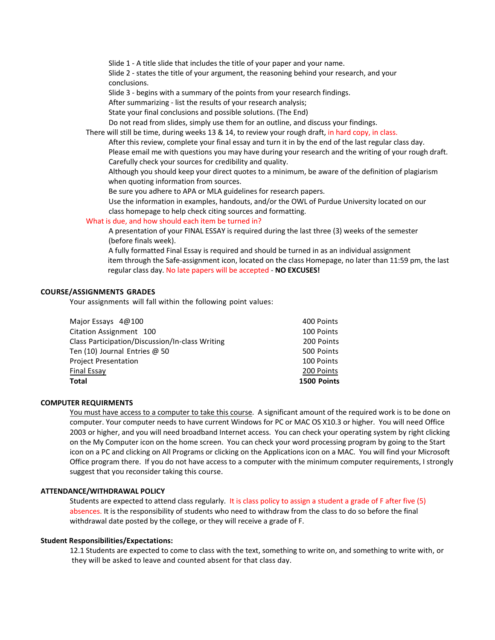Slide 1 - A title slide that includes the title of your paper and your name.

Slide 2 - states the title of your argument, the reasoning behind your research, and your conclusions.

Slide 3 - begins with a summary of the points from your research findings.

After summarizing - list the results of your research analysis;

State your final conclusions and possible solutions. (The End)

Do not read from slides, simply use them for an outline, and discuss your findings.

There will still be time, during weeks 13 & 14, to review your rough draft, in hard copy, in class.

After this review, complete your final essay and turn it in by the end of the last regular class day. Please email me with questions you may have during your research and the writing of your rough draft. Carefully check your sources for credibility and quality.

Although you should keep your direct quotes to a minimum, be aware of the definition of plagiarism when quoting information from sources.

Be sure you adhere to APA or MLA guidelines for research papers.

Use the information in examples, handouts, and/or the OWL of Purdue University located on our class homepage to help check citing sources and formatting.

#### What is due, and how should each item be turned in?

A presentation of your FINAL ESSAY is required during the last three (3) weeks of the semester (before finals week).

A fully formatted Final Essay is required and should be turned in as an individual assignment item through the Safe-assignment icon, located on the class Homepage, no later than 11:59 pm, the last regular class day. No late papers will be accepted - **NO EXCUSES!**

#### **COURSE/ASSIGNMENTS GRADES**

Your assignments will fall within the following point values:

| Major Essays 4@100                              | 400 Points  |
|-------------------------------------------------|-------------|
| Citation Assignment 100                         | 100 Points  |
| Class Participation/Discussion/In-class Writing | 200 Points  |
| Ten (10) Journal Entries $\omega$ 50            | 500 Points  |
| <b>Project Presentation</b>                     | 100 Points  |
| <b>Final Essay</b>                              | 200 Points  |
| <b>Total</b>                                    | 1500 Points |

#### **COMPUTER REQUIRMENTS**

You must have access to a computer to take this course. A significant amount of the required work is to be done on computer. Your computer needs to have current Windows for PC or MAC OS X10.3 or higher. You will need Office 2003 or higher, and you will need broadband Internet access. You can check your operating system by right clicking on the My Computer icon on the home screen. You can check your word processing program by going to the Start icon on a PC and clicking on All Programs or clicking on the Applications icon on a MAC. You will find your Microsoft Office program there. If you do not have access to a computer with the minimum computer requirements, I strongly suggest that you reconsider taking this course.

#### **ATTENDANCE/WITHDRAWAL POLICY**

Students are expected to attend class regularly. It is class policy to assign a student a grade of F after five (5) absences. It is the responsibility of students who need to withdraw from the class to do so before the final withdrawal date posted by the college, or they will receive a grade of F.

#### **Student Responsibilities/Expectations:**

12.1 Students are expected to come to class with the text, something to write on, and something to write with, or they will be asked to leave and counted absent for that class day.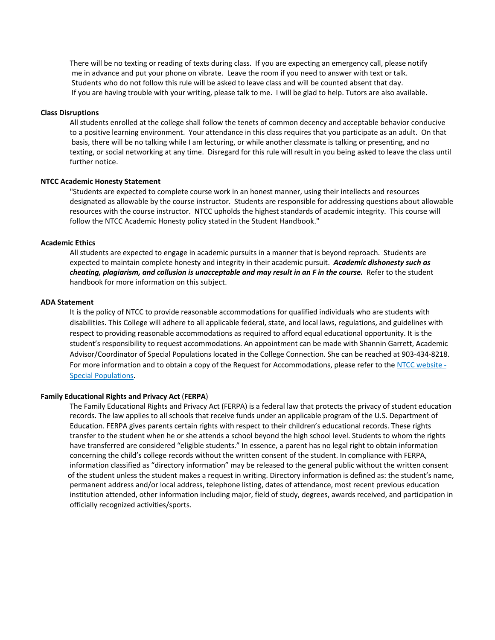There will be no texting or reading of texts during class. If you are expecting an emergency call, please notify me in advance and put your phone on vibrate. Leave the room if you need to answer with text or talk. Students who do not follow this rule will be asked to leave class and will be counted absent that day. If you are having trouble with your writing, please talk to me. I will be glad to help. Tutors are also available.

#### **Class Disruptions**

All students enrolled at the college shall follow the tenets of common decency and acceptable behavior conducive to a positive learning environment. Your attendance in this class requires that you participate as an adult. On that basis, there will be no talking while I am lecturing, or while another classmate is talking or presenting, and no texting, or social networking at any time. Disregard for this rule will result in you being asked to leave the class until further notice.

#### **NTCC Academic Honesty Statement**

"Students are expected to complete course work in an honest manner, using their intellects and resources designated as allowable by the course instructor. Students are responsible for addressing questions about allowable resources with the course instructor. NTCC upholds the highest standards of academic integrity. This course will follow the NTCC Academic Honesty policy stated in the Student Handbook."

#### **Academic Ethics**

All students are expected to engage in academic pursuits in a manner that is beyond reproach. Students are expected to maintain complete honesty and integrity in their academic pursuit. *Academic dishonesty such as cheating, plagiarism, and collusion is unacceptable and may result in an F in the course.* Refer to the student handbook for more information on this subject.

#### **ADA Statement**

It is the policy of NTCC to provide reasonable accommodations for qualified individuals who are students with disabilities. This College will adhere to all applicable federal, state, and local laws, regulations, and guidelines with respect to providing reasonable accommodations as required to afford equal educational opportunity. It is the student's responsibility to request accommodations. An appointment can be made with Shannin Garrett, Academic Advisor/Coordinator of Special Populations located in the College Connection. She can be reached at 903-434-8218. For more information and to obtain a copy of the Request for Accommodations, please refer to the NTCC website - Special Populations.

#### **Family Educational Rights and Privacy Act** (**FERPA**)

The Family Educational Rights and Privacy Act (FERPA) is a federal law that protects the privacy of student education records. The law applies to all schools that receive funds under an applicable program of the U.S. Department of Education. FERPA gives parents certain rights with respect to their children's educational records. These rights transfer to the student when he or she attends a school beyond the high school level. Students to whom the rights have transferred are considered "eligible students." In essence, a parent has no legal right to obtain information concerning the child's college records without the written consent of the student. In compliance with FERPA, information classified as "directory information" may be released to the general public without the written consent of the student unless the student makes a request in writing. Directory information is defined as: the student's name, permanent address and/or local address, telephone listing, dates of attendance, most recent previous education institution attended, other information including major, field of study, degrees, awards received, and participation in officially recognized activities/sports.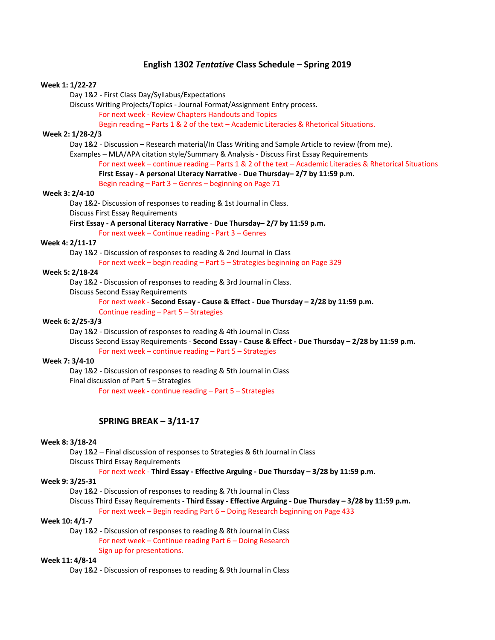# **English 1302** *Tentative* **Class Schedule – Spring 2019**

#### **Week 1: 1/22-27**

Day 1&2 - First Class Day/Syllabus/Expectations

Discuss Writing Projects/Topics - Journal Format/Assignment Entry process.

For next week - Review Chapters Handouts and Topics

Begin reading – Parts 1 & 2 of the text – Academic Literacies & Rhetorical Situations.

#### **Week 2: 1/28-2/3**

Day 1&2 - Discussion – Research material/In Class Writing and Sample Article to review (from me).

Examples – MLA/APA citation style/Summary & Analysis - Discuss First Essay Requirements

For next week – continue reading – Parts 1 & 2 of the text – Academic Literacies & Rhetorical Situations **First Essay - A personal Literacy Narrative** - **Due Thursday– 2/7 by 11:59 p.m.**

Begin reading – Part 3 – Genres – beginning on Page 71

# **Week 3: 2/4-10**

Day 1&2- Discussion of responses to reading & 1st Journal in Class.

Discuss First Essay Requirements

#### **First Essay - A personal Literacy Narrative** - **Due Thursday– 2/7 by 11:59 p.m.**

For next week – Continue reading - Part 3 – Genres

# **Week 4: 2/11-17**

Day 1&2 - Discussion of responses to reading & 2nd Journal in Class

For next week – begin reading – Part 5 – Strategies beginning on Page 329

#### **Week 5: 2/18-24**

Day 1&2 - Discussion of responses to reading & 3rd Journal in Class.

Discuss Second Essay Requirements

# For next week - **Second Essay - Cause & Effect - Due Thursday – 2/28 by 11:59 p.m.**

Continue reading – Part 5 – Strategies

#### **Week 6: 2/25-3/3**

Day 1&2 - Discussion of responses to reading & 4th Journal in Class

Discuss Second Essay Requirements - **Second Essay - Cause & Effect - Due Thursday – 2/28 by 11:59 p.m.**

For next week – continue reading – Part 5 – Strategies

# **Week 7: 3/4-10**

Day 1&2 - Discussion of responses to reading & 5th Journal in Class Final discussion of Part 5 – Strategies

For next week - continue reading – Part 5 – Strategies

## **SPRING BREAK – 3/11-17**

#### **Week 8: 3/18-24**

Day 1&2 – Final discussion of responses to Strategies & 6th Journal in Class Discuss Third Essay Requirements

# For next week - **Third Essay - Effective Arguing - Due Thursday – 3/28 by 11:59 p.m.**

# **Week 9: 3/25-31**

Day 1&2 - Discussion of responses to reading & 7th Journal in Class

Discuss Third Essay Requirements - **Third Essay - Effective Arguing - Due Thursday – 3/28 by 11:59 p.m.**

For next week – Begin reading Part 6 – Doing Research beginning on Page 433

# **Week 10: 4/1-7**

Day 1&2 - Discussion of responses to reading & 8th Journal in Class For next week – Continue reading Part 6 – Doing Research Sign up for presentations.

#### **Week 11: 4/8-14**

Day 1&2 - Discussion of responses to reading & 9th Journal in Class